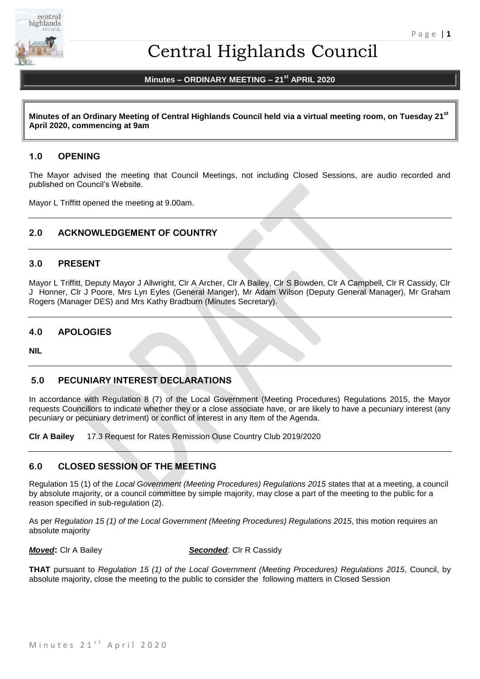

# Central Highlands Council

# **Minutes – ORDINARY MEETING – 21st APRIL 2020**

**Minutes of an Ordinary Meeting of Central Highlands Council held via a virtual meeting room, on Tuesday 21st April 2020, commencing at 9am**

# **1.0 OPENING**

The Mayor advised the meeting that Council Meetings, not including Closed Sessions, are audio recorded and published on Council's Website.

Mayor L Triffitt opened the meeting at 9.00am.

# **2.0 ACKNOWLEDGEMENT OF COUNTRY**

# **3.0 PRESENT**

Mayor L Triffitt, Deputy Mayor J Allwright, Clr A Archer, Clr A Bailey, Clr S Bowden, Clr A Campbell, Clr R Cassidy, Clr J Honner, Clr J Poore, Mrs Lyn Eyles (General Manger), Mr Adam Wilson (Deputy General Manager), Mr Graham Rogers (Manager DES) and Mrs Kathy Bradburn (Minutes Secretary).

# **4.0 APOLOGIES**

**NIL**

# **5.0 PECUNIARY INTEREST DECLARATIONS**

In accordance with Regulation 8 (7) of the Local Government (Meeting Procedures) Regulations 2015, the Mayor requests Councillors to indicate whether they or a close associate have, or are likely to have a pecuniary interest (any pecuniary or pecuniary detriment) or conflict of interest in any Item of the Agenda.

**Clr A Bailey** 17.3 Request for Rates Remission Ouse Country Club 2019/2020

# **6.0 CLOSED SESSION OF THE MEETING**

Regulation 15 (1) of the *Local Government (Meeting Procedures) Regulations 2015* states that at a meeting, a council by absolute majority, or a council committee by simple majority, may close a part of the meeting to the public for a reason specified in sub-regulation (2).

As per *Regulation 15 (1) of the Local Government (Meeting Procedures) Regulations 2015*, this motion requires an absolute majority

*Moved***:** Clr A Bailey **Seconded:** Clr R Cassidy

**THAT** pursuant to *Regulation 15 (1) of the Local Government (Meeting Procedures) Regulations 2015*, Council, by absolute majority, close the meeting to the public to consider the following matters in Closed Session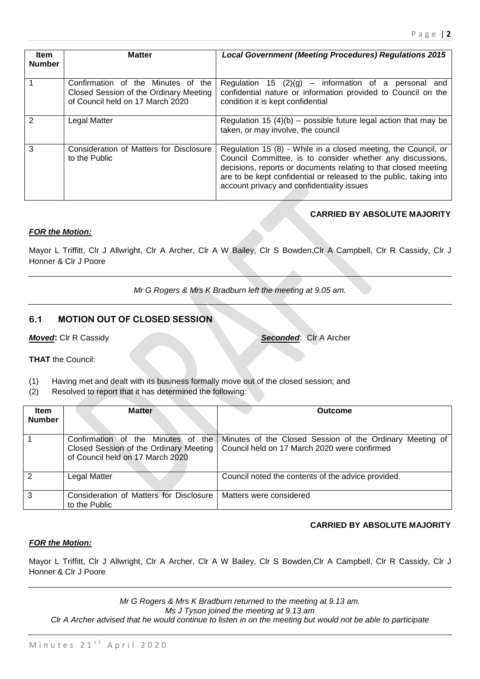| <b>Item</b><br><b>Number</b> | <b>Matter</b>                                                                                                    | <b>Local Government (Meeting Procedures) Regulations 2015</b>                                                                                                                                                                                                                                                       |
|------------------------------|------------------------------------------------------------------------------------------------------------------|---------------------------------------------------------------------------------------------------------------------------------------------------------------------------------------------------------------------------------------------------------------------------------------------------------------------|
|                              | Confirmation of the Minutes of the<br>Closed Session of the Ordinary Meeting<br>of Council held on 17 March 2020 | Regulation 15 $(2)(g)$ – information of a personal and<br>confidential nature or information provided to Council on the<br>condition it is kept confidential                                                                                                                                                        |
| 2                            | Legal Matter                                                                                                     | Regulation 15 (4)(b) – possible future legal action that may be<br>taken, or may involve, the council                                                                                                                                                                                                               |
| 3                            | Consideration of Matters for Disclosure<br>to the Public                                                         | Regulation 15 (8) - While in a closed meeting, the Council, or<br>Council Committee, is to consider whether any discussions,<br>decisions, reports or documents relating to that closed meeting<br>are to be kept confidential or released to the public, taking into<br>account privacy and confidentiality issues |

# **CARRIED BY ABSOLUTE MAJORITY**

# *FOR the Motion:*

Mayor L Triffitt, Clr J Allwright, Clr A Archer, Clr A W Bailey, Clr S Bowden,Clr A Campbell, Clr R Cassidy, Clr J Honner & Clr J Poore

*Mr G Rogers & Mrs K Bradburn left the meeting at 9.05 am.*

# **6.1 MOTION OUT OF CLOSED SESSION**

*Moved***:** Clr R Cassidy *Seconded*: Clr A Archer

**THAT** the Council:

- (1) Having met and dealt with its business formally move out of the closed session; and
- (2) Resolved to report that it has determined the following:

| Item<br><b>Number</b> | <b>Matter</b>                                                                                                    | <b>Outcome</b>                                                                                           |
|-----------------------|------------------------------------------------------------------------------------------------------------------|----------------------------------------------------------------------------------------------------------|
|                       | Confirmation of the Minutes of the<br>Closed Session of the Ordinary Meeting<br>of Council held on 17 March 2020 | Minutes of the Closed Session of the Ordinary Meeting of<br>Council held on 17 March 2020 were confirmed |
| $\mathcal{P}$         | <b>Legal Matter</b>                                                                                              | Council noted the contents of the advice provided.                                                       |
| 3                     | Consideration of Matters for Disclosure<br>to the Public                                                         | Matters were considered                                                                                  |

# **CARRIED BY ABSOLUTE MAJORITY**

# *FOR the Motion:*

Mayor L Triffitt, Clr J Allwright, Clr A Archer, Clr A W Bailey, Clr S Bowden,Clr A Campbell, Clr R Cassidy, Clr J Honner & Clr J Poore

*Mr G Rogers & Mrs K Bradburn returned to the meeting at 9.13 am. Ms J Tyson joined the meeting at 9.13 am Clr A Archer advised that he would continue to listen in on the meeting but would not be able to participate*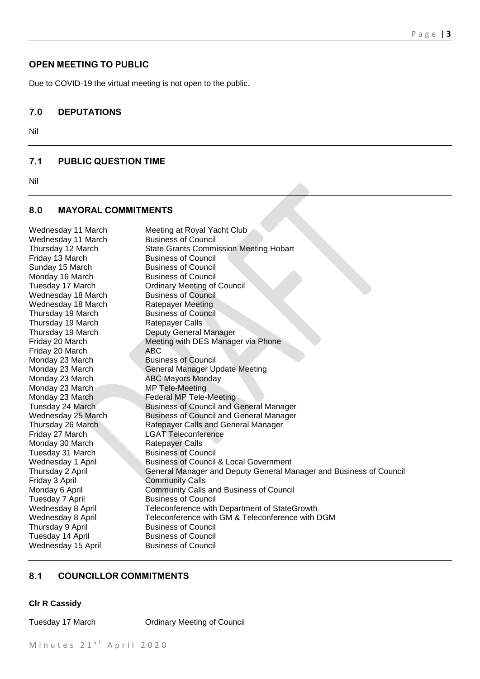# **OPEN MEETING TO PUBLIC**

Due to COVID-19 the virtual meeting is not open to the public.

# **7.0 DEPUTATIONS**

Nil

# **7.1 PUBLIC QUESTION TIME**

Nil

### **8.0 MAYORAL COMMITMENTS**

Wednesday 11 March Meeting at Royal Yacht Club Wednesday 11 March Business of Council Thursday 12 March State Grants Commission Meeting Hobart Friday 13 March Business of Council Sunday 15 March Business of Council Monday 16 March Business of Council Tuesday 17 March Ordinary Meeting of Council Wednesday 18 March Business of Council Wednesday 18 March Ratepayer Meeting Thursday 19 March Business of Council Thursday 19 March Ratepayer Calls Thursday 19 March Deputy General Manager Friday 20 March Meeting with DES Manager via Phone Friday 20 March ABC Monday 23 March Business of Council Monday 23 March General Manager Update Meeting Monday 23 March ABC Mayors Monday Monday 23 March MP Tele-Meeting Monday 23 March Federal MP Tele-Meeting Tuesday 24 March Business of Council and General Manager Wednesday 25 March Business of Council and General Manager Thursday 26 March Ratepayer Calls and General Manager Friday 27 March LGAT Teleconference Monday 30 March Ratepayer Calls Tuesday 31 March Business of Council Wednesday 1 April Business of Council & Local Government Thursday 2 April General Manager and Deputy General Manager and Business of Council Friday 3 April Community Calls Monday 6 April Community Calls and Business of Council Tuesday 7 April Business of Council Wednesday 8 April Teleconference with Department of StateGrowth Wednesday 8 April Teleconference with GM & Teleconference with DGM Thursday 9 April Business of Council Tuesday 14 April Business of Council Wednesday 15 April Business of Council

#### **8.1 COUNCILLOR COMMITMENTS**

#### **Clr R Cassidy**

Tuesday 17 March Ordinary Meeting of Council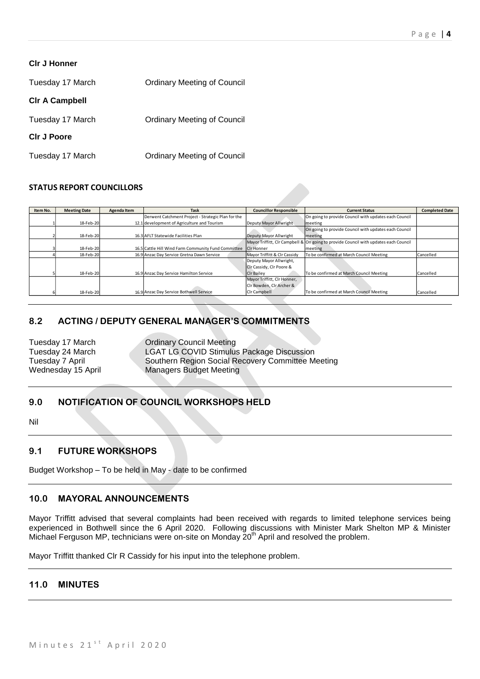| <b>CIr J Honner</b>   |                                    |
|-----------------------|------------------------------------|
| Tuesday 17 March      | <b>Ordinary Meeting of Council</b> |
| <b>CIr A Campbell</b> |                                    |
| Tuesday 17 March      | <b>Ordinary Meeting of Council</b> |

# **Clr J Poore**

Tuesday 17 March Ordinary Meeting of Council

# **STATUS REPORT COUNCILLORS**

| Item No. | <b>Meeting Date</b> | Agenda Item | <b>Task</b>                                         | <b>Councillor Responsible</b> | <b>Current Status</b>                                                                | <b>Completed Date</b> |
|----------|---------------------|-------------|-----------------------------------------------------|-------------------------------|--------------------------------------------------------------------------------------|-----------------------|
|          |                     |             | Derwent Catchment Project - Strategic Plan for the  |                               | On going to provide Council with updates each Council                                |                       |
|          | 18-Feb-20           |             | 12.1 development of Agriculture and Tourism         | Deputy Mayor Allwright        | meeting                                                                              |                       |
|          |                     |             |                                                     |                               | On going to provide Council with updates each Council                                |                       |
|          | 18-Feb-20           |             | 16.3 AFLT Statewide Facilities Plan                 | Deputy Mayor Allwright        | meeting                                                                              |                       |
|          |                     |             |                                                     |                               | Mayor Triffitt, CIr Campbell & On going to provide Council with updates each Council |                       |
|          | 18-Feb-20           |             | 16.5 Cattle Hill Wind Farm Community Fund Committee | Cir Honner                    | meeting                                                                              |                       |
|          | 18-Feb-20           |             | 16.9 Anzac Day Service Gretna Dawn Service          | Mayor Triffitt & Clr Cassidy  | To be confirmed at March Council Meeting                                             | Cancelled             |
|          |                     |             |                                                     | Deputy Mayor Allwright,       |                                                                                      |                       |
|          |                     |             |                                                     | Cir Cassidy, Cir Poore &      |                                                                                      |                       |
|          | 18-Feb-20           |             | 16.9 Anzac Day Service Hamilton Service             | <b>CIr Bailey</b>             | To be confirmed at March Council Meeting                                             | Cancelled             |
|          |                     |             |                                                     | Mayor Triffitt, Clr Honner,   |                                                                                      |                       |
|          |                     |             |                                                     | Clr Bowden, Clr Archer &      |                                                                                      |                       |
|          | 18-Feb-20           |             | 16.9 Anzac Day Service Bothwell Service             | Clr Campbell                  | To be confirmed at March Council Meeting                                             | Cancelled             |

# **8.2 ACTING / DEPUTY GENERAL MANAGER'S COMMITMENTS**

Tuesday 17 March **Ordinary Council Meeting** Wednesday 15 April Managers Budget Meeting

Tuesday 24 March **LGAT LG COVID Stimulus Package Discussion**<br>Tuesday 7 April **Southern Region Social Recovery Committee M** Southern Region Social Recovery Committee Meeting

# **9.0 NOTIFICATION OF COUNCIL WORKSHOPS HELD**

Nil

# **9.1 FUTURE WORKSHOPS**

Budget Workshop – To be held in May - date to be confirmed

# **10.0 MAYORAL ANNOUNCEMENTS**

Mayor Triffitt advised that several complaints had been received with regards to limited telephone services being experienced in Bothwell since the 6 April 2020. Following discussions with Minister Mark Shelton MP & Minister Michael Ferguson MP, technicians were on-site on Monday  $20<sup>th</sup>$  April and resolved the problem.

Mayor Triffitt thanked Clr R Cassidy for his input into the telephone problem.

# **11.0 MINUTES**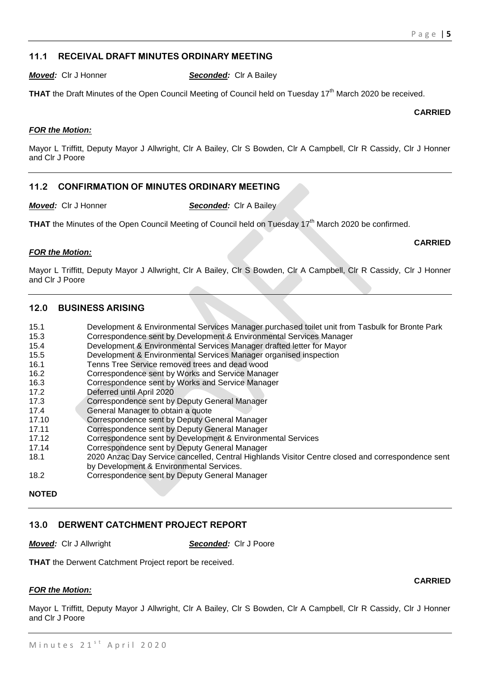# **11.1 RECEIVAL DRAFT MINUTES ORDINARY MEETING**

*Moved:* Clr J Honner *Seconded:* Clr A Bailey

**THAT** the Draft Minutes of the Open Council Meeting of Council held on Tuesday 17<sup>th</sup> March 2020 be received.

**CARRIED**

**CARRIED**

**CARRIED**

# *FOR the Motion:*

Mayor L Triffitt, Deputy Mayor J Allwright, Clr A Bailey, Clr S Bowden, Clr A Campbell, Clr R Cassidy, Clr J Honner and Clr J Poore

# **11.2 CONFIRMATION OF MINUTES ORDINARY MEETING**

*Moved:* Clr J Honner *Seconded:* Clr A Bailey

**THAT** the Minutes of the Open Council Meeting of Council held on Tuesday 17<sup>th</sup> March 2020 be confirmed.

# *FOR the Motion:*

Mayor L Triffitt, Deputy Mayor J Allwright, Clr A Bailey, Clr S Bowden, Clr A Campbell, Clr R Cassidy, Clr J Honner and Clr J Poore

# **12.0 BUSINESS ARISING**

- 15.1 Development & Environmental Services Manager purchased toilet unit from Tasbulk for Bronte Park
- 15.3 Correspondence sent by Development & Environmental Services Manager
- 15.4 Development & Environmental Services Manager drafted letter for Mayor
- 15.5 Development & Environmental Services Manager organised inspection
- 16.1 Tenns Tree Service removed trees and dead wood
- 16.2 Correspondence sent by Works and Service Manager
- 16.3 Correspondence sent by Works and Service Manager
- 17.2 Deferred until April 2020
- 17.3 Correspondence sent by Deputy General Manager
- 17.4 **General Manager to obtain a quote**
- 17.10 Correspondence sent by Deputy General Manager
- 17.11 Correspondence sent by Deputy General Manager
- 17.12 Correspondence sent by Development & Environmental Services
- 17.14 Correspondence sent by Deputy General Manager
- 18.1 2020 Anzac Day Service cancelled, Central Highlands Visitor Centre closed and correspondence sent
- by Development & Environmental Services.
- 18.2 Correspondence sent by Deputy General Manager

# **13.0 DERWENT CATCHMENT PROJECT REPORT**

*Moved:* Clr J Allwright **Seconded:** Clr J Poore

**THAT** the Derwent Catchment Project report be received.

# *FOR the Motion:*

Mayor L Triffitt, Deputy Mayor J Allwright, Clr A Bailey, Clr S Bowden, Clr A Campbell, Clr R Cassidy, Clr J Honner and Clr J Poore

**NOTED**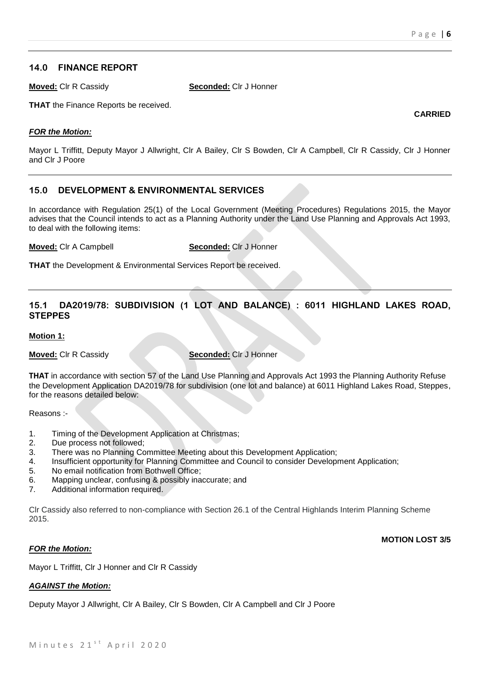**CARRIED**

# **14.0 FINANCE REPORT**

**Moved:** Clr R Cassidy **Seconded:** Clr J Honner

**THAT** the Finance Reports be received.

# *FOR the Motion:*

Mayor L Triffitt, Deputy Mayor J Allwright, Clr A Bailey, Clr S Bowden, Clr A Campbell, Clr R Cassidy, Clr J Honner and Clr J Poore

# **15.0 DEVELOPMENT & ENVIRONMENTAL SERVICES**

In accordance with Regulation 25(1) of the Local Government (Meeting Procedures) Regulations 2015, the Mayor advises that the Council intends to act as a Planning Authority under the Land Use Planning and Approvals Act 1993, to deal with the following items:

**Moved:** Clr A Campbell **Seconded:** Clr J Honner

**THAT** the Development & Environmental Services Report be received.

# **15.1 DA2019/78: SUBDIVISION (1 LOT AND BALANCE) : 6011 HIGHLAND LAKES ROAD, STEPPES**

# **Motion 1:**

**Moved:** Clr R Cassidy **Seconded:** Clr J Honner

**THAT** in accordance with section 57 of the Land Use Planning and Approvals Act 1993 the Planning Authority Refuse the Development Application DA2019/78 for subdivision (one lot and balance) at 6011 Highland Lakes Road, Steppes, for the reasons detailed below:

Reasons :-

- 1. Timing of the Development Application at Christmas;
- 2. Due process not followed;
- 3. There was no Planning Committee Meeting about this Development Application;
- 4. Insufficient opportunity for Planning Committee and Council to consider Development Application;
- 5. No email notification from Bothwell Office;
- 6. Mapping unclear, confusing & possibly inaccurate; and
- 7. Additional information required.

Clr Cassidy also referred to non-compliance with Section 26.1 of the Central Highlands Interim Planning Scheme 2015.

# *FOR the Motion:*

**MOTION LOST 3/5**

Mayor L Triffitt, Clr J Honner and Clr R Cassidy

# *AGAINST the Motion:*

Deputy Mayor J Allwright, Clr A Bailey, Clr S Bowden, Clr A Campbell and Clr J Poore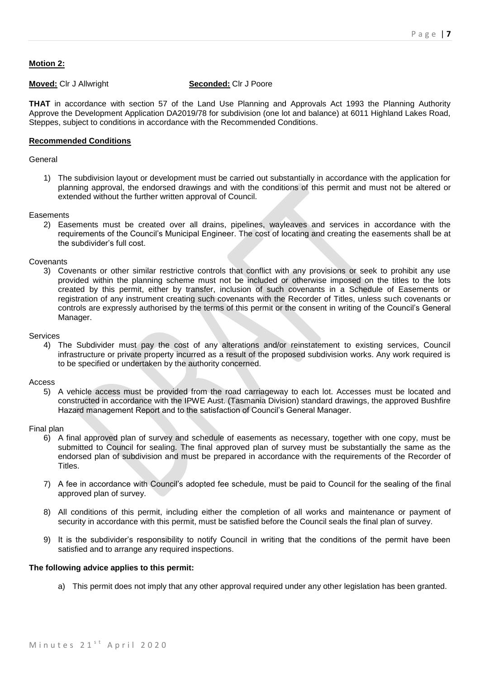# **Motion 2:**

# **Moved:** Clr J Allwright **Seconded:** Clr J Poore

**THAT** in accordance with section 57 of the Land Use Planning and Approvals Act 1993 the Planning Authority Approve the Development Application DA2019/78 for subdivision (one lot and balance) at 6011 Highland Lakes Road, Steppes, subject to conditions in accordance with the Recommended Conditions.

# **Recommended Conditions**

### General

1) The subdivision layout or development must be carried out substantially in accordance with the application for planning approval, the endorsed drawings and with the conditions of this permit and must not be altered or extended without the further written approval of Council.

#### **Easements**

2) Easements must be created over all drains, pipelines, wayleaves and services in accordance with the requirements of the Council's Municipal Engineer. The cost of locating and creating the easements shall be at the subdivider's full cost.

#### **Covenants**

3) Covenants or other similar restrictive controls that conflict with any provisions or seek to prohibit any use provided within the planning scheme must not be included or otherwise imposed on the titles to the lots created by this permit, either by transfer, inclusion of such covenants in a Schedule of Easements or registration of any instrument creating such covenants with the Recorder of Titles, unless such covenants or controls are expressly authorised by the terms of this permit or the consent in writing of the Council's General Manager.

#### Services

4) The Subdivider must pay the cost of any alterations and/or reinstatement to existing services, Council infrastructure or private property incurred as a result of the proposed subdivision works. Any work required is to be specified or undertaken by the authority concerned.

#### Access

5) A vehicle access must be provided from the road carriageway to each lot. Accesses must be located and constructed in accordance with the IPWE Aust. (Tasmania Division) standard drawings, the approved Bushfire Hazard management Report and to the satisfaction of Council's General Manager.

#### Final plan

- 6) A final approved plan of survey and schedule of easements as necessary, together with one copy, must be submitted to Council for sealing. The final approved plan of survey must be substantially the same as the endorsed plan of subdivision and must be prepared in accordance with the requirements of the Recorder of Titles.
- 7) A fee in accordance with Council's adopted fee schedule, must be paid to Council for the sealing of the final approved plan of survey.
- 8) All conditions of this permit, including either the completion of all works and maintenance or payment of security in accordance with this permit, must be satisfied before the Council seals the final plan of survey.
- 9) It is the subdivider's responsibility to notify Council in writing that the conditions of the permit have been satisfied and to arrange any required inspections.

#### **The following advice applies to this permit:**

a) This permit does not imply that any other approval required under any other legislation has been granted.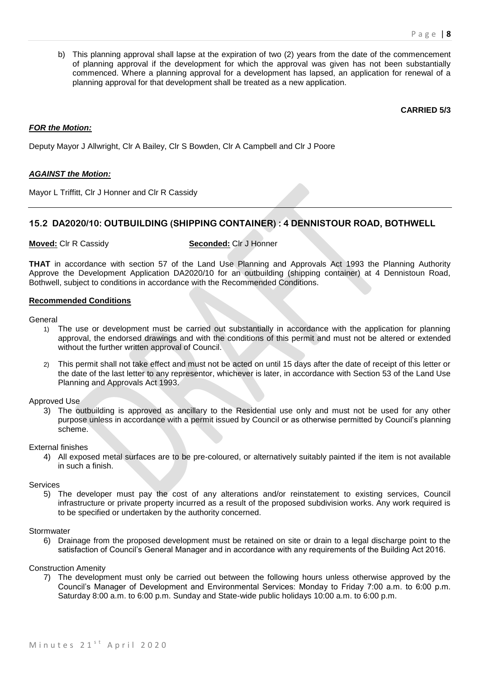b) This planning approval shall lapse at the expiration of two (2) years from the date of the commencement of planning approval if the development for which the approval was given has not been substantially commenced. Where a planning approval for a development has lapsed, an application for renewal of a planning approval for that development shall be treated as a new application.

#### **CARRIED 5/3**

### *FOR the Motion:*

Deputy Mayor J Allwright, Clr A Bailey, Clr S Bowden, Clr A Campbell and Clr J Poore

#### *AGAINST the Motion:*

Mayor L Triffitt, Clr J Honner and Clr R Cassidy

# **15.2 DA2020/10: OUTBUILDING (SHIPPING CONTAINER) : 4 DENNISTOUR ROAD, BOTHWELL**

**Moved:** Clr R Cassidy **Seconded:** Clr J Honner

**THAT** in accordance with section 57 of the Land Use Planning and Approvals Act 1993 the Planning Authority Approve the Development Application DA2020/10 for an outbuilding (shipping container) at 4 Dennistoun Road, Bothwell, subject to conditions in accordance with the Recommended Conditions.

#### **Recommended Conditions**

#### General

- 1) The use or development must be carried out substantially in accordance with the application for planning approval, the endorsed drawings and with the conditions of this permit and must not be altered or extended without the further written approval of Council.
- 2) This permit shall not take effect and must not be acted on until 15 days after the date of receipt of this letter or the date of the last letter to any representor, whichever is later, in accordance with Section 53 of the Land Use Planning and Approvals Act 1993.

# Approved Use

3) The outbuilding is approved as ancillary to the Residential use only and must not be used for any other purpose unless in accordance with a permit issued by Council or as otherwise permitted by Council's planning scheme.

External finishes

4) All exposed metal surfaces are to be pre-coloured, or alternatively suitably painted if the item is not available in such a finish.

#### Services

5) The developer must pay the cost of any alterations and/or reinstatement to existing services, Council infrastructure or private property incurred as a result of the proposed subdivision works. Any work required is to be specified or undertaken by the authority concerned.

#### **Stormwater**

6) Drainage from the proposed development must be retained on site or drain to a legal discharge point to the satisfaction of Council's General Manager and in accordance with any requirements of the Building Act 2016.

#### Construction Amenity

7) The development must only be carried out between the following hours unless otherwise approved by the Council's Manager of Development and Environmental Services: Monday to Friday 7:00 a.m. to 6:00 p.m. Saturday 8:00 a.m. to 6:00 p.m. Sunday and State-wide public holidays 10:00 a.m. to 6:00 p.m.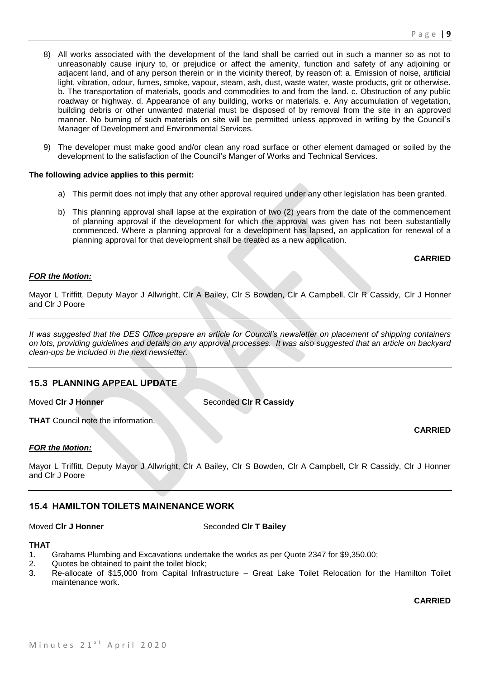- 8) All works associated with the development of the land shall be carried out in such a manner so as not to unreasonably cause injury to, or prejudice or affect the amenity, function and safety of any adjoining or adjacent land, and of any person therein or in the vicinity thereof, by reason of: a. Emission of noise, artificial light, vibration, odour, fumes, smoke, vapour, steam, ash, dust, waste water, waste products, grit or otherwise. b. The transportation of materials, goods and commodities to and from the land. c. Obstruction of any public roadway or highway. d. Appearance of any building, works or materials. e. Any accumulation of vegetation, building debris or other unwanted material must be disposed of by removal from the site in an approved manner. No burning of such materials on site will be permitted unless approved in writing by the Council's Manager of Development and Environmental Services.
- 9) The developer must make good and/or clean any road surface or other element damaged or soiled by the development to the satisfaction of the Council's Manger of Works and Technical Services.

#### **The following advice applies to this permit:**

- a) This permit does not imply that any other approval required under any other legislation has been granted.
- b) This planning approval shall lapse at the expiration of two (2) years from the date of the commencement of planning approval if the development for which the approval was given has not been substantially commenced. Where a planning approval for a development has lapsed, an application for renewal of a planning approval for that development shall be treated as a new application.

#### **CARRIED**

# *FOR the Motion:*

Mayor L Triffitt, Deputy Mayor J Allwright, Clr A Bailey, Clr S Bowden, Clr A Campbell, Clr R Cassidy, Clr J Honner and Clr J Poore

*It was suggested that the DES Office prepare an article for Council's newsletter on placement of shipping containers on lots, providing guidelines and details on any approval processes. It was also suggested that an article on backyard clean-ups be included in the next newsletter.*

# **15.3 PLANNING APPEAL UPDATE**

**Moved CIr J Honner** Seconded CIr R Cassidy

**THAT** Council note the information.

# *FOR the Motion:*

Mayor L Triffitt, Deputy Mayor J Allwright, Clr A Bailey, Clr S Bowden, Clr A Campbell, Clr R Cassidy, Clr J Honner and Clr J Poore

# **15.4 HAMILTON TOILETS MAINENANCE WORK**

Moved Cir J Honner Seconded Cir T Bailey

### **THAT**

- 1. Grahams Plumbing and Excavations undertake the works as per Quote 2347 for \$9,350.00;
- 2. Quotes be obtained to paint the toilet block;
- 3. Re-allocate of \$15,000 from Capital Infrastructure Great Lake Toilet Relocation for the Hamilton Toilet maintenance work.

**CARRIED**

**CARRIED**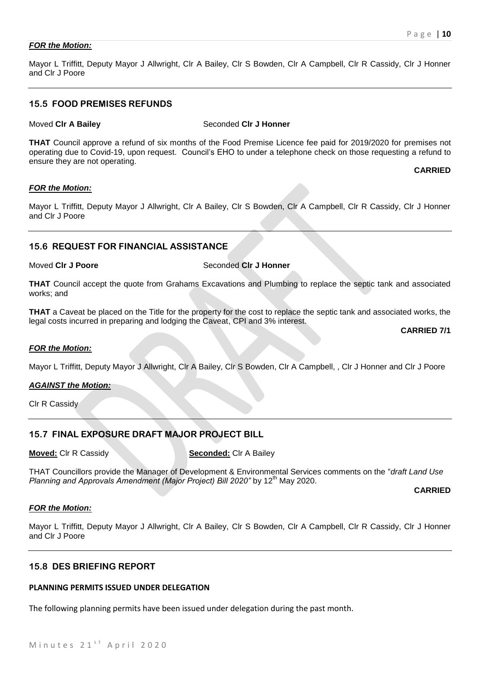# *FOR the Motion:*

Mayor L Triffitt, Deputy Mayor J Allwright, Clr A Bailey, Clr S Bowden, Clr A Campbell, Clr R Cassidy, Clr J Honner and Clr J Poore

# **15.5 FOOD PREMISES REFUNDS**

#### **Moved CIr A Bailey Seconded CIr J Honner**

**THAT** Council approve a refund of six months of the Food Premise Licence fee paid for 2019/2020 for premises not operating due to Covid-19, upon request. Council's EHO to under a telephone check on those requesting a refund to ensure they are not operating.

#### **CARRIED**

# *FOR the Motion:*

Mayor L Triffitt, Deputy Mayor J Allwright, Clr A Bailey, Clr S Bowden, Clr A Campbell, Clr R Cassidy, Clr J Honner and Clr J Poore

# **15.6 REQUEST FOR FINANCIAL ASSISTANCE**

# Moved CIr J Poore Seconded CIr J Honner

**THAT** Council accept the quote from Grahams Excavations and Plumbing to replace the septic tank and associated works; and

**THAT** a Caveat be placed on the Title for the property for the cost to replace the septic tank and associated works, the legal costs incurred in preparing and lodging the Caveat, CPI and 3% interest.

**CARRIED 7/1**

#### *FOR the Motion:*

Mayor L Triffitt, Deputy Mayor J Allwright, Clr A Bailey, Clr S Bowden, Clr A Campbell, , Clr J Honner and Clr J Poore

# *AGAINST the Motion:*

Clr R Cassidy

# **15.7 FINAL EXPOSURE DRAFT MAJOR PROJECT BILL**

**Moved:** Clr R Cassidy **Seconded:** Clr A Bailey

THAT Councillors provide the Manager of Development & Environmental Services comments on the "*draft Land Use Planning and Approvals Amendment (Major Project) Bill 2020"* by 12<sup>th</sup> May 2020.

**CARRIED**

#### *FOR the Motion:*

Mayor L Triffitt, Deputy Mayor J Allwright, Clr A Bailey, Clr S Bowden, Clr A Campbell, Clr R Cassidy, Clr J Honner and Clr J Poore

# **15.8 DES BRIEFING REPORT**

#### **PLANNING PERMITS ISSUED UNDER DELEGATION**

The following planning permits have been issued under delegation during the past month.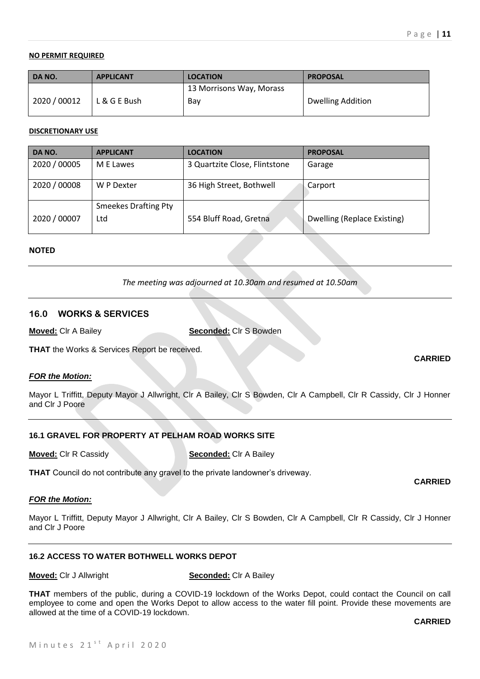# **NO PERMIT REQUIRED**

| <b>DANO.</b> | <b>APPLICANT</b> | <b>LOCATION</b>          | <b>PROPOSAL</b>          |
|--------------|------------------|--------------------------|--------------------------|
|              |                  | 13 Morrisons Way, Morass |                          |
| 2020 / 00012 | L & G E Bush     | Bay                      | <b>Dwelling Addition</b> |
|              |                  |                          |                          |

### **DISCRETIONARY USE**

| DA NO.       | <b>APPLICANT</b>            | <b>LOCATION</b>               | <b>PROPOSAL</b>             |
|--------------|-----------------------------|-------------------------------|-----------------------------|
| 2020 / 00005 | M E Lawes                   | 3 Quartzite Close, Flintstone | Garage                      |
| 2020 / 00008 | W P Dexter                  | 36 High Street, Bothwell      | Carport                     |
|              | <b>Smeekes Drafting Pty</b> |                               |                             |
| 2020 / 00007 | Ltd                         | 554 Bluff Road, Gretna        | Dwelling (Replace Existing) |

#### **NOTED**

*The meeting was adjourned at 10.30am and resumed at 10.50am*

# **16.0 WORKS & SERVICES**

**Moved:** Clr A Bailey **Seconded:** Clr S Bowden

**THAT** the Works & Services Report be received.

#### *FOR the Motion:*

Mayor L Triffitt, Deputy Mayor J Allwright, Clr A Bailey, Clr S Bowden, Clr A Campbell, Clr R Cassidy, Clr J Honner and Clr J Poore

# **16.1 GRAVEL FOR PROPERTY AT PELHAM ROAD WORKS SITE**

**Moved:** Clr R Cassidy **Seconded:** Clr A Bailey

**THAT** Council do not contribute any gravel to the private landowner's driveway.

#### *FOR the Motion:*

Mayor L Triffitt, Deputy Mayor J Allwright, Clr A Bailey, Clr S Bowden, Clr A Campbell, Clr R Cassidy, Clr J Honner and Clr J Poore

# **16.2 ACCESS TO WATER BOTHWELL WORKS DEPOT**

**Moved:** Clr J Allwright **Seconded:** Clr A Bailey

**THAT** members of the public, during a COVID-19 lockdown of the Works Depot, could contact the Council on call employee to come and open the Works Depot to allow access to the water fill point. Provide these movements are allowed at the time of a COVID-19 lockdown.

**CARRIED**

# **CARRIED**

**CARRIED**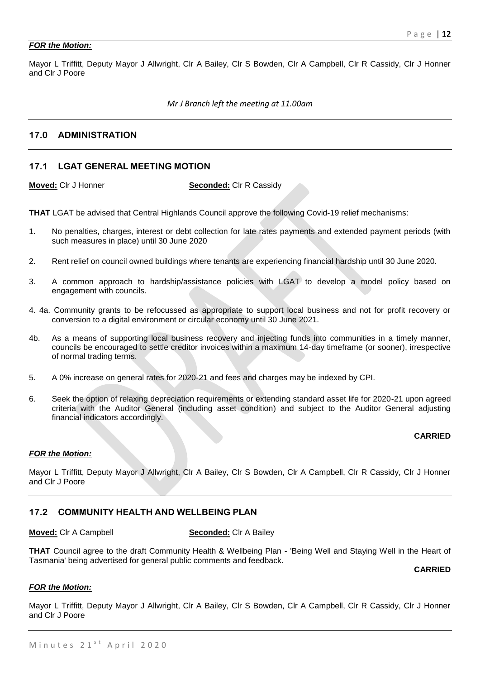# *FOR the Motion:*

Mayor L Triffitt, Deputy Mayor J Allwright, Clr A Bailey, Clr S Bowden, Clr A Campbell, Clr R Cassidy, Clr J Honner and Clr J Poore

### *Mr J Branch left the meeting at 11.00am*

# **17.0 ADMINISTRATION**

# **17.1 LGAT GENERAL MEETING MOTION**

**Moved:** Clr J Honner **Seconded:** Clr R Cassidy

**THAT** LGAT be advised that Central Highlands Council approve the following Covid-19 relief mechanisms:

- 1. No penalties, charges, interest or debt collection for late rates payments and extended payment periods (with such measures in place) until 30 June 2020
- 2. Rent relief on council owned buildings where tenants are experiencing financial hardship until 30 June 2020.
- 3. A common approach to hardship/assistance policies with LGAT to develop a model policy based on engagement with councils.
- 4. 4a. Community grants to be refocussed as appropriate to support local business and not for profit recovery or conversion to a digital environment or circular economy until 30 June 2021.
- 4b. As a means of supporting local business recovery and injecting funds into communities in a timely manner, councils be encouraged to settle creditor invoices within a maximum 14-day timeframe (or sooner), irrespective of normal trading terms.
- 5. A 0% increase on general rates for 2020-21 and fees and charges may be indexed by CPI.
- 6. Seek the option of relaxing depreciation requirements or extending standard asset life for 2020-21 upon agreed criteria with the Auditor General (including asset condition) and subject to the Auditor General adjusting financial indicators accordingly.

# **CARRIED**

#### *FOR the Motion:*

Mayor L Triffitt, Deputy Mayor J Allwright, Clr A Bailey, Clr S Bowden, Clr A Campbell, Clr R Cassidy, Clr J Honner and Clr J Poore

# **17.2 COMMUNITY HEALTH AND WELLBEING PLAN**

#### **Moved:** Clr A Campbell **Seconded:** Clr A Bailey

**THAT** Council agree to the draft Community Health & Wellbeing Plan - 'Being Well and Staying Well in the Heart of Tasmania' being advertised for general public comments and feedback.

**CARRIED**

#### *FOR the Motion:*

Mayor L Triffitt, Deputy Mayor J Allwright, Clr A Bailey, Clr S Bowden, Clr A Campbell, Clr R Cassidy, Clr J Honner and Clr J Poore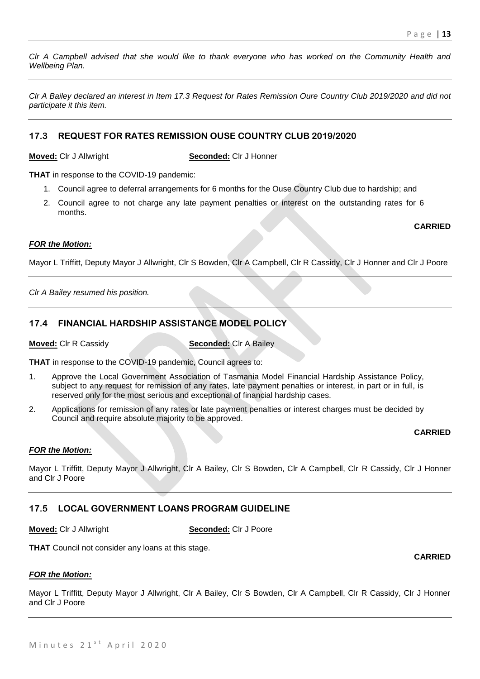*Clr A Campbell advised that she would like to thank everyone who has worked on the Community Health and Wellbeing Plan.*

*Clr A Bailey declared an interest in Item 17.3 Request for Rates Remission Oure Country Club 2019/2020 and did not participate it this item.*

# **17.3 REQUEST FOR RATES REMISSION OUSE COUNTRY CLUB 2019/2020**

**Moved:** Clr J Allwright **Seconded:** Clr J Honner

**THAT** in response to the COVID-19 pandemic:

- 1. Council agree to deferral arrangements for 6 months for the Ouse Country Club due to hardship; and
- 2. Council agree to not charge any late payment penalties or interest on the outstanding rates for 6 months.

**CARRIED**

# *FOR the Motion:*

Mayor L Triffitt, Deputy Mayor J Allwright, Clr S Bowden, Clr A Campbell, Clr R Cassidy, Clr J Honner and Clr J Poore

*Clr A Bailey resumed his position.*

# **17.4 FINANCIAL HARDSHIP ASSISTANCE MODEL POLICY**

**Moved:** Clr R Cassidy **Seconded:** Clr A Bailey

**THAT** in response to the COVID-19 pandemic, Council agrees to:

- 1. Approve the Local Government Association of Tasmania Model Financial Hardship Assistance Policy, subject to any request for remission of any rates, late payment penalties or interest, in part or in full, is reserved only for the most serious and exceptional of financial hardship cases.
- 2. Applications for remission of any rates or late payment penalties or interest charges must be decided by Council and require absolute majority to be approved.

# **CARRIED**

# *FOR the Motion:*

Mayor L Triffitt, Deputy Mayor J Allwright, Clr A Bailey, Clr S Bowden, Clr A Campbell, Clr R Cassidy, Clr J Honner and Clr J Poore

# **17.5 LOCAL GOVERNMENT LOANS PROGRAM GUIDELINE**

**Moved:** Clr J Allwright **Seconded:** Clr J Poore

**THAT** Council not consider any loans at this stage.

# *FOR the Motion:*

Mayor L Triffitt, Deputy Mayor J Allwright, Clr A Bailey, Clr S Bowden, Clr A Campbell, Clr R Cassidy, Clr J Honner and Clr J Poore

**CARRIED**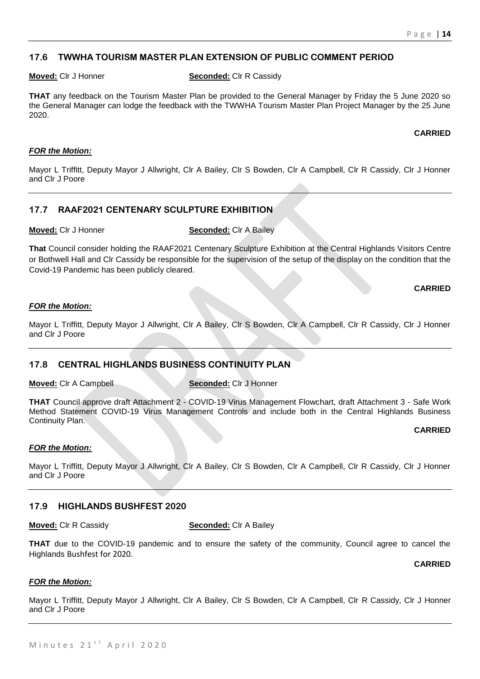# **17.6 TWWHA TOURISM MASTER PLAN EXTENSION OF PUBLIC COMMENT PERIOD**

**Moved:** Clr J Honner **Seconded:** Clr R Cassidy

**THAT** any feedback on the Tourism Master Plan be provided to the General Manager by Friday the 5 June 2020 so the General Manager can lodge the feedback with the TWWHA Tourism Master Plan Project Manager by the 25 June 2020.

### **CARRIED**

# *FOR the Motion:*

Mayor L Triffitt, Deputy Mayor J Allwright, Clr A Bailey, Clr S Bowden, Clr A Campbell, Clr R Cassidy, Clr J Honner and Clr J Poore

# **17.7 RAAF2021 CENTENARY SCULPTURE EXHIBITION**

**Moved:** Clr J Honner **Seconded:** Clr A Bailey

**That** Council consider holding the RAAF2021 Centenary Sculpture Exhibition at the Central Highlands Visitors Centre or Bothwell Hall and Clr Cassidy be responsible for the supervision of the setup of the display on the condition that the Covid-19 Pandemic has been publicly cleared.

**CARRIED**

# *FOR the Motion:*

Mayor L Triffitt, Deputy Mayor J Allwright, Clr A Bailey, Clr S Bowden, Clr A Campbell, Clr R Cassidy, Clr J Honner and Clr J Poore

# **17.8 CENTRAL HIGHLANDS BUSINESS CONTINUITY PLAN**

**Moved:** Clr A Campbell **Seconded:** Clr J Honner

**THAT** Council approve draft Attachment 2 - COVID-19 Virus Management Flowchart, draft Attachment 3 - Safe Work Method Statement COVID-19 Virus Management Controls and include both in the Central Highlands Business Continuity Plan.

# **CARRIED**

# *FOR the Motion:*

Mayor L Triffitt, Deputy Mayor J Allwright, Clr A Bailey, Clr S Bowden, Clr A Campbell, Clr R Cassidy, Clr J Honner and Clr J Poore

# **17.9 HIGHLANDS BUSHFEST 2020**

**Moved:** Clr R Cassidy **Seconded:** Clr A Bailey

**THAT** due to the COVID-19 pandemic and to ensure the safety of the community, Council agree to cancel the Highlands Bushfest for 2020.

**CARRIED**

# *FOR the Motion:*

Mayor L Triffitt, Deputy Mayor J Allwright, Clr A Bailey, Clr S Bowden, Clr A Campbell, Clr R Cassidy, Clr J Honner and Clr J Poore